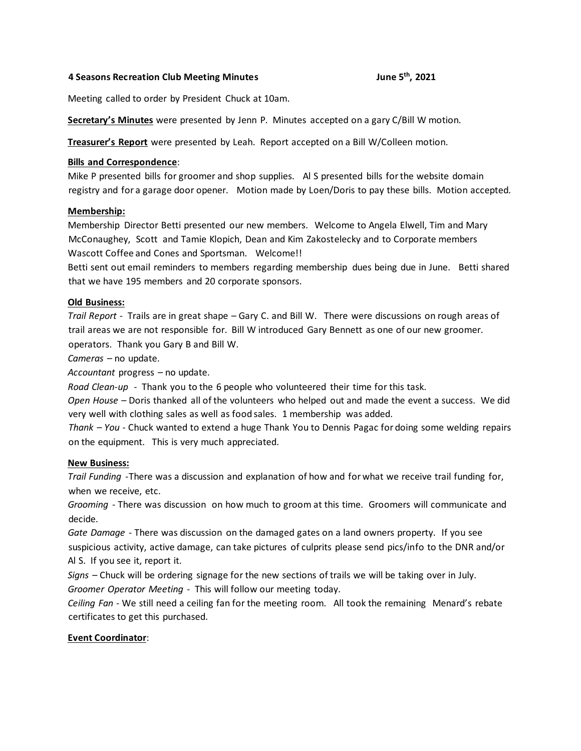## **4 Seasons Recreation Club Meeting Minutes June 5th, 2021**

Meeting called to order by President Chuck at 10am.

**Secretary's Minutes** were presented by Jenn P. Minutes accepted on a gary C/Bill W motion.

**Treasurer's Report** were presented by Leah. Report accepted on a Bill W/Colleen motion.

## **Bills and Correspondence**:

Mike P presented bills for groomer and shop supplies. Al S presented bills for the website domain registry and for a garage door opener. Motion made by Loen/Doris to pay these bills. Motion accepted.

## **Membership:**

Membership Director Betti presented our new members. Welcome to Angela Elwell, Tim and Mary McConaughey, Scott and Tamie Klopich, Dean and Kim Zakostelecky and to Corporate members Wascott Coffee and Cones and Sportsman. Welcome!!

Betti sent out email reminders to members regarding membership dues being due in June. Betti shared that we have 195 members and 20 corporate sponsors.

## **Old Business:**

*Trail Report* - Trails are in great shape – Gary C. and Bill W. There were discussions on rough areas of trail areas we are not responsible for. Bill W introduced Gary Bennett as one of our new groomer.

operators. Thank you Gary B and Bill W.

*Cameras* – no update.

*Accountant* progress – no update.

*Road Clean-up* - Thank you to the 6 people who volunteered their time for this task.

*Open House* – Doris thanked all of the volunteers who helped out and made the event a success. We did very well with clothing sales as well as food sales. 1 membership was added.

*Thank – You* - Chuck wanted to extend a huge Thank You to Dennis Pagac for doing some welding repairs on the equipment. This is very much appreciated.

#### **New Business:**

*Trail Funding -*There was a discussion and explanation of how and for what we receive trail funding for, when we receive, etc.

*Grooming* - There was discussion on how much to groom at this time. Groomers will communicate and decide.

*Gate Damage* - There was discussion on the damaged gates on a land owners property. If you see suspicious activity, active damage, can take pictures of culprits please send pics/info to the DNR and/or Al S. If you see it, report it.

*Signs* – Chuck will be ordering signage for the new sections of trails we will be taking over in July. *Groomer Operator Meeting* - This will follow our meeting today.

*Ceiling Fan* - We still need a ceiling fan for the meeting room. All took the remaining Menard's rebate certificates to get this purchased.

# **Event Coordinator**: